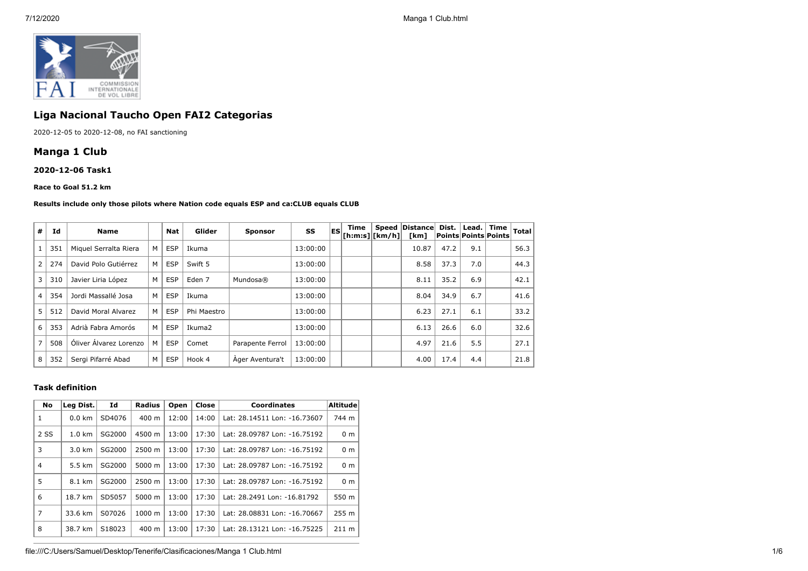

## **Liga Nacional Taucho Open FAI2 Categorias**

2020-12-05 to 2020-12-08, no FAI sanctioning

## **Manga 1 Club**

**2020-12-06 Task1**

#### **Race to Goal 51.2 km**

#### **Results include only those pilots where Nation code equals ESP and ca:CLUB equals CLUB**

| #              | Id  | <b>Name</b>            |   | <b>Nat</b> | Glider            | <b>Sponsor</b>   | SS       | <b>IES</b> | Time<br>$ $ [h:m:s] $ $ [km/h] $ $ | <b>Speed</b> | Distance<br>[km] | Dist.<br> Points Points Points | Lead.   Time | <b>Total</b> |
|----------------|-----|------------------------|---|------------|-------------------|------------------|----------|------------|------------------------------------|--------------|------------------|--------------------------------|--------------|--------------|
|                | 351 | Miguel Serralta Riera  | M | <b>ESP</b> | Ikuma             |                  | 13:00:00 |            |                                    |              | 10.87            | 47.2                           | 9.1          | 56.3         |
| $\overline{2}$ | 274 | David Polo Gutiérrez   | M | <b>ESP</b> | Swift 5           |                  | 13:00:00 |            |                                    |              | 8.58             | 37.3                           | 7.0          | 44.3         |
| 3              | 310 | Javier Liria López     | M | <b>ESP</b> | Eden <sub>7</sub> | Mundosa®         | 13:00:00 |            |                                    |              | 8.11             | 35.2                           | 6.9          | 42.1         |
| $\overline{4}$ | 354 | Jordi Massallé Josa    | M | <b>ESP</b> | Ikuma             |                  | 13:00:00 |            |                                    |              | 8.04             | 34.9                           | 6.7          | 41.6         |
| 5              | 512 | David Moral Alvarez    | M | <b>ESP</b> | Phi Maestro       |                  | 13:00:00 |            |                                    |              | 6.23             | 27.1                           | 6.1          | 33.2         |
| 6              | 353 | Adrià Fabra Amorós     | M | <b>ESP</b> | Ikuma2            |                  | 13:00:00 |            |                                    |              | 6.13             | 26.6                           | 6.0          | 32.6         |
| 7              | 508 | Óliver Álvarez Lorenzo | M | <b>ESP</b> | Comet             | Parapente Ferrol | 13:00:00 |            |                                    |              | 4.97             | 21.6                           | 5.5          | 27.1         |
| 8              | 352 | Sergi Pifarré Abad     | M | <b>ESP</b> | Hook 4            | Ager Aventura't  | 13:00:00 |            |                                    |              | 4.00             | 17.4                           | 4.4          | 21.8         |

#### **Task definition**

| <b>No</b>      | Leg Dist.        | Id     | <b>Radius</b>   | Open  | Close | <b>Coordinates</b>           | <b>Altitude</b> |
|----------------|------------------|--------|-----------------|-------|-------|------------------------------|-----------------|
| 1              | $0.0 \text{ km}$ | SD4076 | $400 \text{ m}$ | 12:00 | 14:00 | Lat: 28.14511 Lon: -16.73607 | 744 m           |
| 2 SS           | $1.0 \text{ km}$ | SG2000 | 4500 m          | 13:00 | 17:30 | Lat: 28.09787 Lon: -16.75192 | 0 <sub>m</sub>  |
| 3              | $3.0 \text{ km}$ | SG2000 | 2500 m          | 13:00 | 17:30 | Lat: 28.09787 Lon: -16.75192 | 0 <sub>m</sub>  |
| $\overline{4}$ | 5.5 km           | SG2000 | 5000 m          | 13:00 | 17:30 | Lat: 28.09787 Lon: -16.75192 | 0 <sub>m</sub>  |
| 5              | 8.1 km           | SG2000 | 2500 m          | 13:00 | 17:30 | Lat: 28.09787 Lon: -16.75192 | 0 <sub>m</sub>  |
| 6              | 18.7 km          | SD5057 | 5000 m          | 13:00 | 17:30 | Lat: 28.2491 Lon: -16.81792  | 550 m           |
| $\overline{7}$ | 33.6 km          | S07026 | $1000 \; m$     | 13:00 | 17:30 | Lat: 28.08831 Lon: -16.70667 | 255 m           |
| 8              | 38.7 km          | S18023 | $400 \text{ m}$ | 13:00 | 17:30 | Lat: 28.13121 Lon: -16.75225 | 211 m           |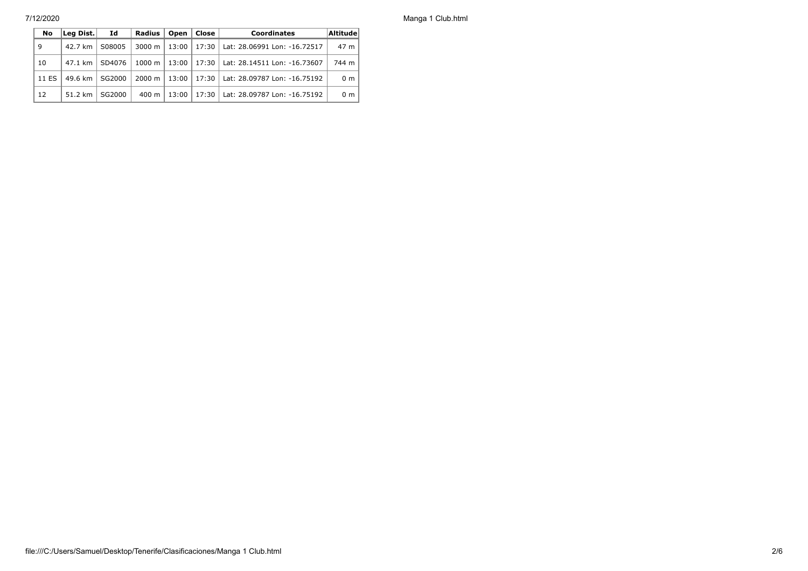7/12/2020 Manga 1 Club.html

| No    | Leg Dist. | Id     | Radius            | Open    | l Close | <b>Coordinates</b>                           | Altitude       |
|-------|-----------|--------|-------------------|---------|---------|----------------------------------------------|----------------|
| 9     | 42.7 km   | S08005 | 3000 m            | $13:00$ |         | 17:30   Lat: 28.06991 Lon: -16.72517         | 47 m           |
| 10    | 47.1 km l | SD4076 | $1000 \;{\rm m}$  |         |         | 13:00   17:30   Lat: 28.14511 Lon: -16.73607 | 744 m          |
| 11 ES | 49.6 km   | SG2000 | 2000 m            | $13:00$ |         | 17:30   Lat: 28.09787 Lon: -16.75192         | 0 <sub>m</sub> |
| 12    | 51.2 km   | SG2000 | $400 \; \text{m}$ | 13:00   |         | 17:30   Lat: 28.09787 Lon: -16.75192         | 0 <sub>m</sub> |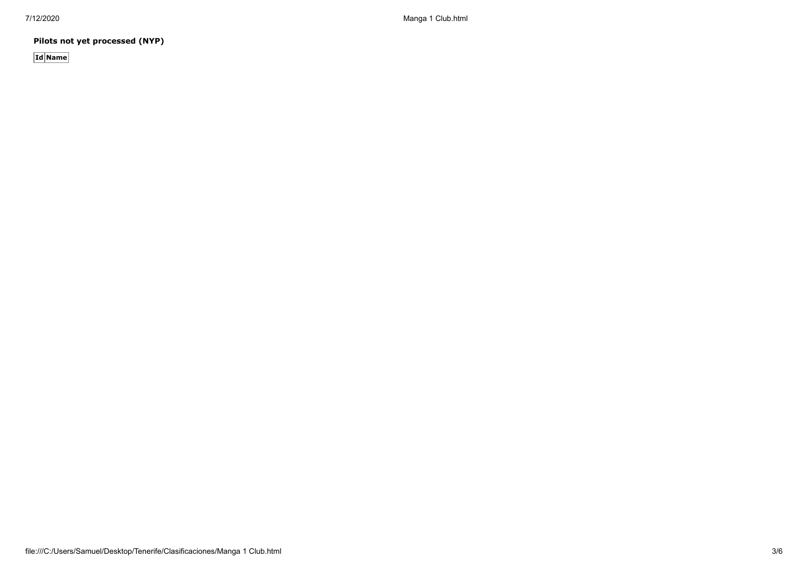**Pilots not yet processed (NYP)**

**Id Name**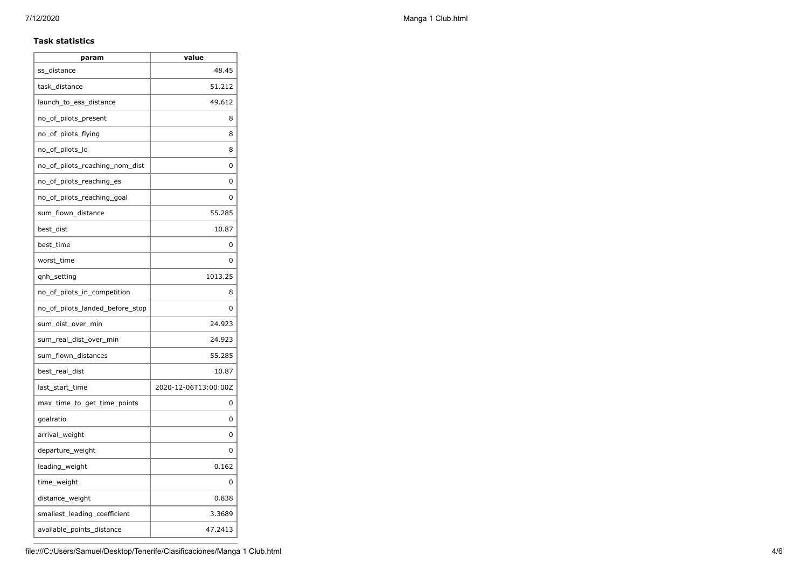## **Task statistics**

| param                           | value                |
|---------------------------------|----------------------|
| ss distance                     | 48.45                |
| task_distance                   | 51.212               |
| launch_to_ess_distance          | 49.612               |
| no_of_pilots_present            | 8                    |
| no_of_pilots_flying             | 8                    |
| no_of_pilots_lo                 | 8                    |
| no of pilots reaching nom dist  | 0                    |
| no_of_pilots_reaching_es        | 0                    |
| no_of_pilots_reaching_goal      | 0                    |
| sum_flown_distance              | 55.285               |
| best_dist                       | 10.87                |
| best_time                       | 0                    |
| worst_time                      | 0                    |
| qnh_setting                     | 1013.25              |
| no_of_pilots_in_competition     | 8                    |
| no of pilots landed before stop | 0                    |
| sum_dist_over_min               | 24.923               |
| sum_real_dist_over_min          | 24.923               |
| sum_flown_distances             | 55.285               |
| best_real_dist                  | 10.87                |
| last_start_time                 | 2020-12-06T13:00:00Z |
| max_time_to_get_time_points     | 0                    |
| goalratio                       | 0                    |
| arrival_weight                  | 0                    |
| departure_weight                | 0                    |
| leading_weight                  | 0.162                |
| time_weight                     | 0                    |
| distance_weight                 | 0.838                |
| smallest_leading_coefficient    | 3.3689               |
| available_points_distance       | 47.2413              |
|                                 |                      |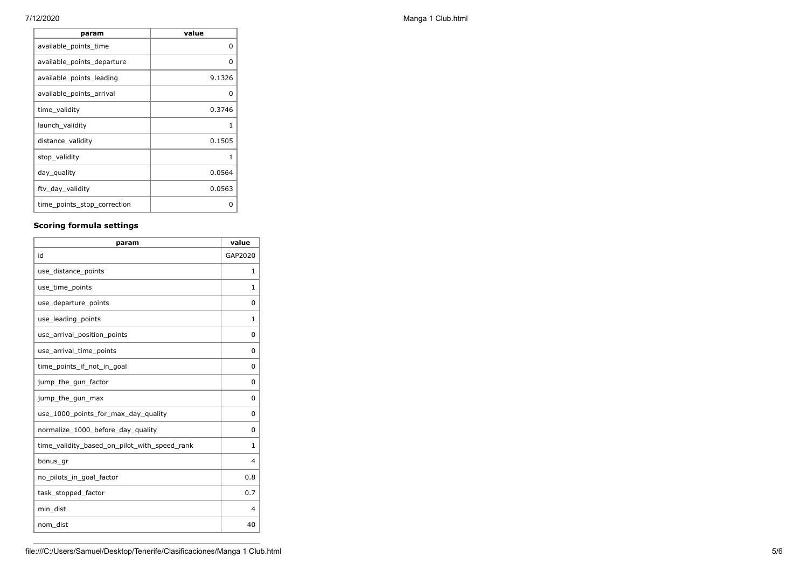| param                       | value  |
|-----------------------------|--------|
| available_points_time       | 0      |
| available_points_departure  | O      |
| available points leading    | 9.1326 |
| available_points_arrival    | 0      |
| time_validity               | 0.3746 |
| launch_validity             |        |
| distance_validity           | 0.1505 |
| stop_validity               | 1      |
| day_quality                 | 0.0564 |
| ftv_day_validity            | 0.0563 |
| time_points_stop_correction | Ω      |

## **Scoring formula settings**

| param                                        | value    |
|----------------------------------------------|----------|
| id                                           | GAP2020  |
| use_distance_points                          | 1        |
| use_time_points                              | 1        |
| use_departure_points                         | $\Omega$ |
| use_leading_points                           | 1        |
| use_arrival_position_points                  | $\Omega$ |
| use_arrival_time_points                      | $\Omega$ |
| time points if not in goal                   | 0        |
| jump_the_gun_factor                          | $\Omega$ |
| jump_the_gun_max                             | $\Omega$ |
| use_1000_points_for_max_day_quality          | $\Omega$ |
| normalize_1000_before_day_quality            | $\Omega$ |
| time_validity_based_on_pilot_with_speed_rank | 1        |
| bonus_gr                                     | 4        |
| no pilots in goal factor                     | 0.8      |
| task_stopped_factor                          | 0.7      |
| min_dist                                     | 4        |
| nom_dist                                     | 40       |